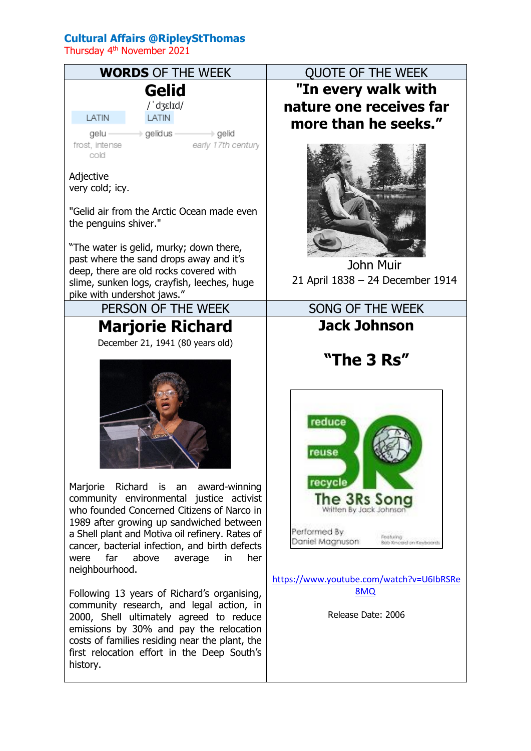## **Cultural Affairs @RipleyStThomas**

Thursday 4<sup>th</sup> November 2021